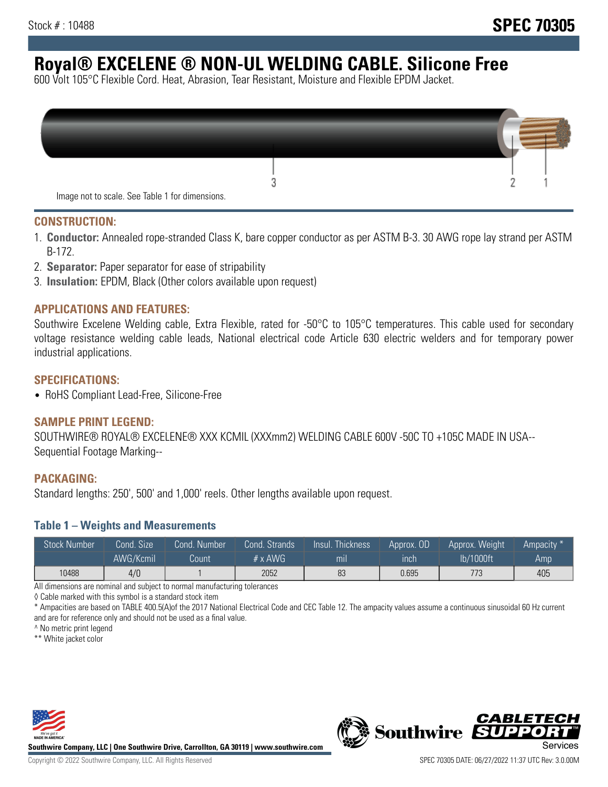# **Royal® EXCELENE ® NON-UL WELDING CABLE. Silicone Free**

600 Volt 105°C Flexible Cord. Heat, Abrasion, Tear Resistant, Moisture and Flexible EPDM Jacket.

| Image not to scale. See Table 1 for dimensions. |  |
|-------------------------------------------------|--|

#### **CONSTRUCTION:**

- 1. **Conductor:** Annealed rope-stranded Class K, bare copper conductor as per ASTM B-3. 30 AWG rope lay strand per ASTM B-172.
- 2. **Separator:** Paper separator for ease of stripability
- 3. **Insulation:** EPDM, Black (Other colors available upon request)

### **APPLICATIONS AND FEATURES:**

Southwire Excelene Welding cable, Extra Flexible, rated for -50°C to 105°C temperatures. This cable used for secondary voltage resistance welding cable leads, National electrical code Article 630 electric welders and for temporary power industrial applications.

#### **SPECIFICATIONS:**

• RoHS Compliant Lead-Free, Silicone-Free

#### **SAMPLE PRINT LEGEND:**

SOUTHWIRE® ROYAL® EXCELENE® XXX KCMIL (XXXmm2) WELDING CABLE 600V -50C TO +105C MADE IN USA-- Sequential Footage Marking--

#### **PACKAGING:**

Standard lengths: 250', 500' and 1,000' reels. Other lengths available upon request.

#### **Table 1 – Weights and Measurements**

| <b>Stock Number</b> | Cond. Size | Cond. Number | Cond. Strands | Insul. Thickness | Approx. OD | Approx. Weight | Ampacity * |
|---------------------|------------|--------------|---------------|------------------|------------|----------------|------------|
|                     | AWG/Kcmil  | Count        | # x $AWG$     | m <sub>l</sub>   | inch       | lb/1000ft      | Amp        |
| 10488               | 4/0        |              | 2052          | 83               | 0.695      | 773            | 405        |

All dimensions are nominal and subject to normal manufacturing tolerances

◊ Cable marked with this symbol is a standard stock item

\* Ampacities are based on TABLE 400.5(A)of the 2017 National Electrical Code and CEC Table 12. The ampacity values assume a continuous sinusoidal 60 Hz current and are for reference only and should not be used as a final value.

^ No metric print legend

\*\* White jacket color



**Southwire Company, LLC | One Southwire Drive, Carrollton, GA 30119 | www.southwire.com**



*CABLETE*